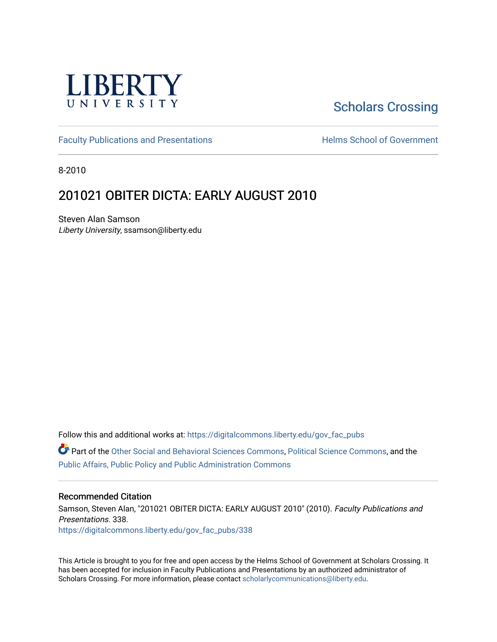

# [Scholars Crossing](https://digitalcommons.liberty.edu/)

[Faculty Publications and Presentations](https://digitalcommons.liberty.edu/gov_fac_pubs) **Exercise School of Government** 

8-2010

## 201021 OBITER DICTA: EARLY AUGUST 2010

Steven Alan Samson Liberty University, ssamson@liberty.edu

Follow this and additional works at: [https://digitalcommons.liberty.edu/gov\\_fac\\_pubs](https://digitalcommons.liberty.edu/gov_fac_pubs?utm_source=digitalcommons.liberty.edu%2Fgov_fac_pubs%2F338&utm_medium=PDF&utm_campaign=PDFCoverPages)

Part of the [Other Social and Behavioral Sciences Commons](http://network.bepress.com/hgg/discipline/437?utm_source=digitalcommons.liberty.edu%2Fgov_fac_pubs%2F338&utm_medium=PDF&utm_campaign=PDFCoverPages), [Political Science Commons](http://network.bepress.com/hgg/discipline/386?utm_source=digitalcommons.liberty.edu%2Fgov_fac_pubs%2F338&utm_medium=PDF&utm_campaign=PDFCoverPages), and the [Public Affairs, Public Policy and Public Administration Commons](http://network.bepress.com/hgg/discipline/393?utm_source=digitalcommons.liberty.edu%2Fgov_fac_pubs%2F338&utm_medium=PDF&utm_campaign=PDFCoverPages)

#### Recommended Citation

Samson, Steven Alan, "201021 OBITER DICTA: EARLY AUGUST 2010" (2010). Faculty Publications and Presentations. 338.

[https://digitalcommons.liberty.edu/gov\\_fac\\_pubs/338](https://digitalcommons.liberty.edu/gov_fac_pubs/338?utm_source=digitalcommons.liberty.edu%2Fgov_fac_pubs%2F338&utm_medium=PDF&utm_campaign=PDFCoverPages)

This Article is brought to you for free and open access by the Helms School of Government at Scholars Crossing. It has been accepted for inclusion in Faculty Publications and Presentations by an authorized administrator of Scholars Crossing. For more information, please contact [scholarlycommunications@liberty.edu.](mailto:scholarlycommunications@liberty.edu)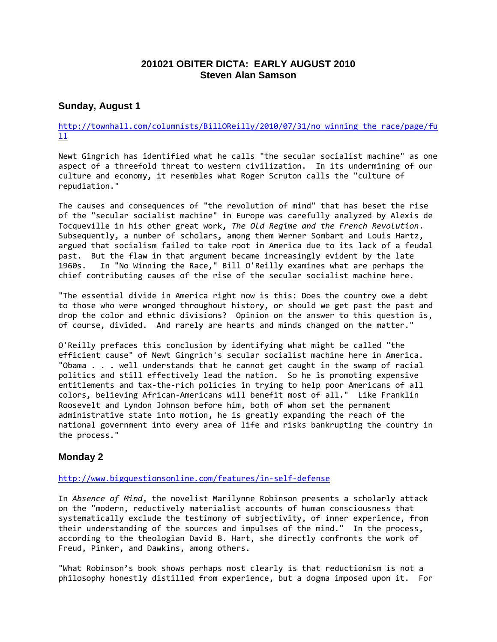## **201021 OBITER DICTA: EARLY AUGUST 2010 Steven Alan Samson**

## **Sunday, August 1**

#### [http://townhall.com/columnists/BillOReilly/2010/07/31/no\\_winning\\_the\\_race/page/fu](http://townhall.com/columnists/BillOReilly/2010/07/31/no_winning_the_race/page/full) [ll](http://townhall.com/columnists/BillOReilly/2010/07/31/no_winning_the_race/page/full)

Newt Gingrich has identified what he calls "the secular socialist machine" as one aspect of a threefold threat to western civilization. In its undermining of our culture and economy, it resembles what Roger Scruton calls the "culture of repudiation."

The causes and consequences of "the revolution of mind" that has beset the rise of the "secular socialist machine" in Europe was carefully analyzed by Alexis de Tocqueville in his other great work, *The Old Regime and the French Revolution*. Subsequently, a number of scholars, among them Werner Sombart and Louis Hartz, argued that socialism failed to take root in America due to its lack of a feudal past. But the flaw in that argument became increasingly evident by the late 1960s. In "No Winning the Race," Bill O'Reilly examines what are perhaps the chief contributing causes of the rise of the secular socialist machine here.

"The essential divide in America right now is this: Does the country owe a debt to those who were wronged throughout history, or should we get past the past and drop the color and ethnic divisions? Opinion on the answer to this question is, of course, divided. And rarely are hearts and minds changed on the matter."

O'Reilly prefaces this conclusion by identifying what might be called "the efficient cause" of Newt Gingrich's secular socialist machine here in America. "Obama . . . well understands that he cannot get caught in the swamp of racial politics and still effectively lead the nation. So he is promoting expensive entitlements and tax-the-rich policies in trying to help poor Americans of all colors, believing African-Americans will benefit most of all." Like Franklin Roosevelt and Lyndon Johnson before him, both of whom set the permanent administrative state into motion, he is greatly expanding the reach of the national government into every area of life and risks bankrupting the country in the process."

## **Monday 2**

#### <http://www.bigquestionsonline.com/features/in-self-defense>

In *Absence of Mind*, the novelist Marilynne Robinson presents a scholarly attack on the "modern, reductively materialist accounts of human consciousness that systematically exclude the testimony of subjectivity, of inner experience, from their understanding of the sources and impulses of the mind." In the process, according to the theologian David B. Hart, she directly confronts the work of Freud, Pinker, and Dawkins, among others.

"What Robinson's book shows perhaps most clearly is that reductionism is not a philosophy honestly distilled from experience, but a dogma imposed upon it. For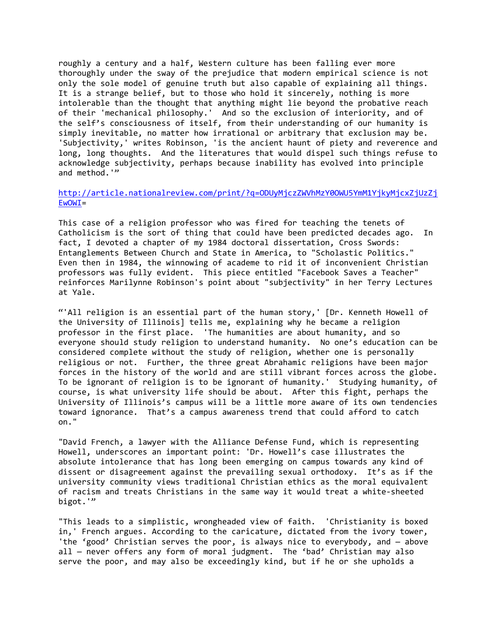roughly a century and a half, Western culture has been falling ever more thoroughly under the sway of the prejudice that modern empirical science is not only the sole model of genuine truth but also capable of explaining all things. It is a strange belief, but to those who hold it sincerely, nothing is more intolerable than the thought that anything might lie beyond the probative reach of their 'mechanical philosophy.' And so the exclusion of interiority, and of the self's consciousness of itself, from their understanding of our humanity is simply inevitable, no matter how irrational or arbitrary that exclusion may be. 'Subjectivity,' writes Robinson, 'is the ancient haunt of piety and reverence and long, long thoughts. And the literatures that would dispel such things refuse to acknowledge subjectivity, perhaps because inability has evolved into principle and method.'"

#### [http://article.nationalreview.com/print/?q=ODUyMjczZWVhMzY0OWU5YmM1YjkyMjcxZjUzZj](http://article.nationalreview.com/print/?q=ODUyMjczZWVhMzY0OWU5YmM1YjkyMjcxZjUzZjEwOWI) [EwOWI=](http://article.nationalreview.com/print/?q=ODUyMjczZWVhMzY0OWU5YmM1YjkyMjcxZjUzZjEwOWI)

This case of a religion professor who was fired for teaching the tenets of Catholicism is the sort of thing that could have been predicted decades ago. In fact, I devoted a chapter of my 1984 doctoral dissertation, Cross Swords: Entanglements Between Church and State in America, to "Scholastic Politics." Even then in 1984, the winnowing of academe to rid it of inconvenient Christian professors was fully evident. This piece entitled "Facebook Saves a Teacher" reinforces Marilynne Robinson's point about "subjectivity" in her Terry Lectures at Yale.

"'All religion is an essential part of the human story,' [Dr. Kenneth Howell of the University of Illinois] tells me, explaining why he became a religion professor in the first place. 'The humanities are about humanity, and so everyone should study religion to understand humanity. No one's education can be considered complete without the study of religion, whether one is personally religious or not. Further, the three great Abrahamic religions have been major forces in the history of the world and are still vibrant forces across the globe. To be ignorant of religion is to be ignorant of humanity.' Studying humanity, of course, is what university life should be about. After this fight, perhaps the University of Illinois's campus will be a little more aware of its own tendencies toward ignorance. That's a campus awareness trend that could afford to catch on."

"David French, a lawyer with the Alliance Defense Fund, which is representing Howell, underscores an important point: 'Dr. Howell's case illustrates the absolute intolerance that has long been emerging on campus towards any kind of dissent or disagreement against the prevailing sexual orthodoxy. It's as if the university community views traditional Christian ethics as the moral equivalent of racism and treats Christians in the same way it would treat a white-sheeted bigot.'"

"This leads to a simplistic, wrongheaded view of faith. 'Christianity is boxed in,' French argues. According to the caricature, dictated from the ivory tower, 'the 'good' Christian serves the poor, is always nice to everybody, and — above all - never offers any form of moral judgment. The 'bad' Christian may also serve the poor, and may also be exceedingly kind, but if he or she upholds a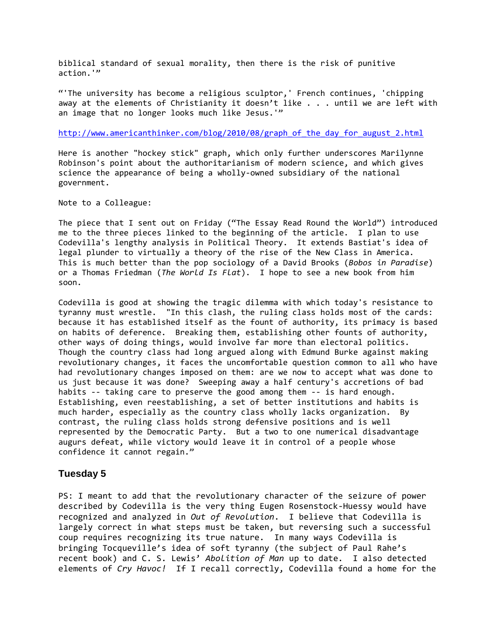biblical standard of sexual morality, then there is the risk of punitive action.'"

"'The university has become a religious sculptor,' French continues, 'chipping away at the elements of Christianity it doesn't like . . . until we are left with an image that no longer looks much like Jesus.'"

#### [http://www.americanthinker.com/blog/2010/08/graph\\_of\\_the\\_day\\_for\\_august\\_2.html](http://www.americanthinker.com/blog/2010/08/graph_of_the_day_for_august_2.html)

Here is another "hockey stick" graph, which only further underscores Marilynne Robinson's point about the authoritarianism of modern science, and which gives science the appearance of being a wholly-owned subsidiary of the national government.

Note to a Colleague:

The piece that I sent out on Friday ("The Essay Read Round the World") introduced me to the three pieces linked to the beginning of the article. I plan to use Codevilla's lengthy analysis in Political Theory. It extends Bastiat's idea of legal plunder to virtually a theory of the rise of the New Class in America. This is much better than the pop sociology of a David Brooks (*Bobos in Paradise*) or a Thomas Friedman (*The World Is Flat*). I hope to see a new book from him soon.

Codevilla is good at showing the tragic dilemma with which today's resistance to tyranny must wrestle. "In this clash, the ruling class holds most of the cards: because it has established itself as the fount of authority, its primacy is based on habits of deference. Breaking them, establishing other founts of authority, other ways of doing things, would involve far more than electoral politics. Though the country class had long argued along with Edmund Burke against making revolutionary changes, it faces the uncomfortable question common to all who have had revolutionary changes imposed on them: are we now to accept what was done to us just because it was done? Sweeping away a half century's accretions of bad habits -- taking care to preserve the good among them -- is hard enough. Establishing, even reestablishing, a set of better institutions and habits is much harder, especially as the country class wholly lacks organization. By contrast, the ruling class holds strong defensive positions and is well represented by the Democratic Party. But a two to one numerical disadvantage augurs defeat, while victory would leave it in control of a people whose confidence it cannot regain."

#### **Tuesday 5**

PS: I meant to add that the revolutionary character of the seizure of power described by Codevilla is the very thing Eugen Rosenstock-Huessy would have recognized and analyzed in *Out of Revolution*. I believe that Codevilla is largely correct in what steps must be taken, but reversing such a successful coup requires recognizing its true nature. In many ways Codevilla is bringing Tocqueville's idea of soft tyranny (the subject of Paul Rahe's recent book) and C. S. Lewis' *Abolition of Man* up to date. I also detected elements of *Cry Havoc!* If I recall correctly, Codevilla found a home for the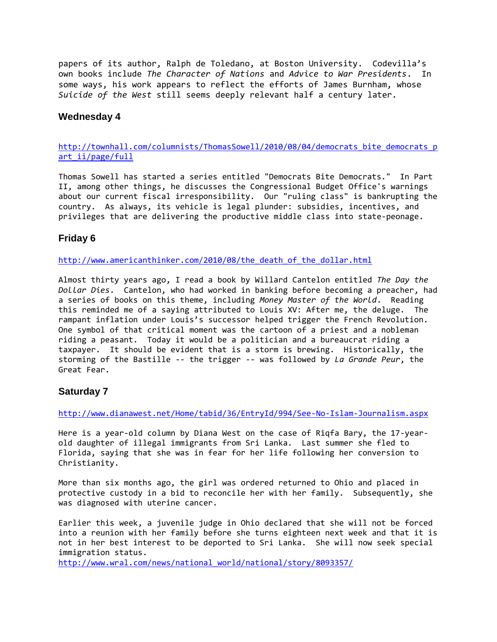papers of its author, Ralph de Toledano, at Boston University. Codevilla's own books include *The Character of Nations* and *Advice to War Presidents*. In some ways, his work appears to reflect the efforts of James Burnham, whose *Suicide of the West* still seems deeply relevant half a century later.

#### **Wednesday 4**

[http://townhall.com/columnists/ThomasSowell/2010/08/04/democrats\\_bite\\_democrats\\_p](http://townhall.com/columnists/ThomasSowell/2010/08/04/democrats_bite_democrats_part_ii/page/full) [art\\_ii/page/full](http://townhall.com/columnists/ThomasSowell/2010/08/04/democrats_bite_democrats_part_ii/page/full)

Thomas Sowell has started a series entitled "Democrats Bite Democrats." In Part II, among other things, he discusses the Congressional Budget Office's warnings about our current fiscal irresponsibility. Our "ruling class" is bankrupting the country. As always, its vehicle is legal plunder: subsidies, incentives, and privileges that are delivering the productive middle class into state-peonage.

### **Friday 6**

[http://www.americanthinker.com/2010/08/the\\_death\\_of\\_the\\_dollar.html](http://www.americanthinker.com/2010/08/the_death_of_the_dollar.html)

Almost thirty years ago, I read a book by Willard Cantelon entitled *The Day the Dollar Dies*. Cantelon, who had worked in banking before becoming a preacher, had a series of books on this theme, including *Money Master of the World*. Reading this reminded me of a saying attributed to Louis XV: After me, the deluge. The rampant inflation under Louis's successor helped trigger the French Revolution. One symbol of that critical moment was the cartoon of a priest and a nobleman riding a peasant. Today it would be a politician and a bureaucrat riding a taxpayer. It should be evident that is a storm is brewing. Historically, the storming of the Bastille -- the trigger -- was followed by *La Grande Peur*, the Great Fear.

## **Saturday 7**

<http://www.dianawest.net/Home/tabid/36/EntryId/994/See-No-Islam-Journalism.aspx>

Here is a year-old column by Diana West on the case of Riqfa Bary, the 17-yearold daughter of illegal immigrants from Sri Lanka. Last summer she fled to Florida, saying that she was in fear for her life following her conversion to Christianity.

More than six months ago, the girl was ordered returned to Ohio and placed in protective custody in a bid to reconcile her with her family. Subsequently, she was diagnosed with uterine cancer.

Earlier this week, a juvenile judge in Ohio declared that she will not be forced into a reunion with her family before she turns eighteen next week and that it is not in her best interest to be deported to Sri Lanka. She will now seek special immigration status.

[http://www.wral.com/news/national\\_world/national/story/8093357/](http://www.wral.com/news/national_world/national/story/8093357/)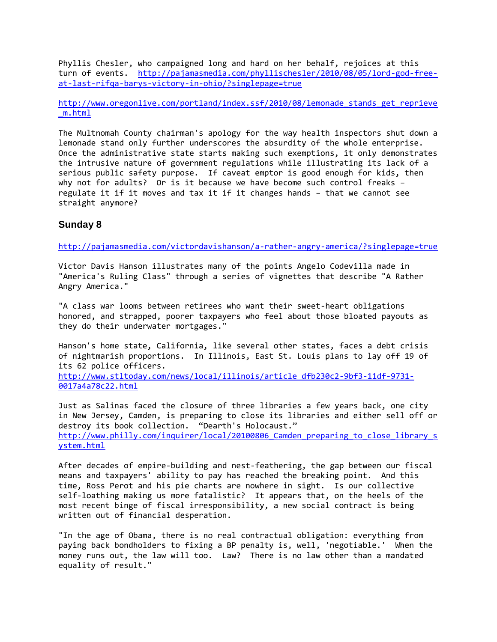Phyllis Chesler, who campaigned long and hard on her behalf, rejoices at this turn of events. [http://pajamasmedia.com/phyllischesler/2010/08/05/lord-god-free](http://pajamasmedia.com/phyllischesler/2010/08/05/lord-god-free-at-last-rifqa-barys-victory-in-ohio/?singlepage=true)[at-last-rifqa-barys-victory-in-ohio/?singlepage=true](http://pajamasmedia.com/phyllischesler/2010/08/05/lord-god-free-at-last-rifqa-barys-victory-in-ohio/?singlepage=true)

[http://www.oregonlive.com/portland/index.ssf/2010/08/lemonade\\_stands\\_get\\_reprieve](http://www.oregonlive.com/portland/index.ssf/2010/08/lemonade_stands_get_reprieve_m.html) [\\_m.html](http://www.oregonlive.com/portland/index.ssf/2010/08/lemonade_stands_get_reprieve_m.html)

The Multnomah County chairman's apology for the way health inspectors shut down a lemonade stand only further underscores the absurdity of the whole enterprise. Once the administrative state starts making such exemptions, it only demonstrates the intrusive nature of government regulations while illustrating its lack of a serious public safety purpose. If caveat emptor is good enough for kids, then why not for adults? Or is it because we have become such control freaks regulate it if it moves and tax it if it changes hands – that we cannot see straight anymore?

#### **Sunday 8**

<http://pajamasmedia.com/victordavishanson/a-rather-angry-america/?singlepage=true>

Victor Davis Hanson illustrates many of the points Angelo Codevilla made in "America's Ruling Class" through a series of vignettes that describe "A Rather Angry America."

"A class war looms between retirees who want their sweet-heart obligations honored, and strapped, poorer taxpayers who feel about those bloated payouts as they do their underwater mortgages."

Hanson's home state, California, like several other states, faces a debt crisis of nightmarish proportions. In Illinois, East St. Louis plans to lay off 19 of its 62 police officers. [http://www.stltoday.com/news/local/illinois/article\\_dfb230c2-9bf3-11df-9731-](http://www.stltoday.com/news/local/illinois/article_dfb230c2-9bf3-11df-9731-0017a4a78c22.html) [0017a4a78c22.html](http://www.stltoday.com/news/local/illinois/article_dfb230c2-9bf3-11df-9731-0017a4a78c22.html)

Just as Salinas faced the closure of three libraries a few years back, one city in New Jersey, Camden, is preparing to close its libraries and either sell off or destroy its book collection. "Dearth's Holocaust." http://www.philly.com/inquirer/local/20100806 Camden preparing to close library s [ystem.html](http://www.philly.com/inquirer/local/20100806_Camden_preparing_to_close_library_system.html)

After decades of empire-building and nest-feathering, the gap between our fiscal means and taxpayers' ability to pay has reached the breaking point. And this time, Ross Perot and his pie charts are nowhere in sight. Is our collective self-loathing making us more fatalistic? It appears that, on the heels of the most recent binge of fiscal irresponsibility, a new social contract is being written out of financial desperation.

"In the age of Obama, there is no real contractual obligation: everything from paying back bondholders to fixing a BP penalty is, well, 'negotiable.' When the money runs out, the law will too. Law? There is no law other than a mandated equality of result."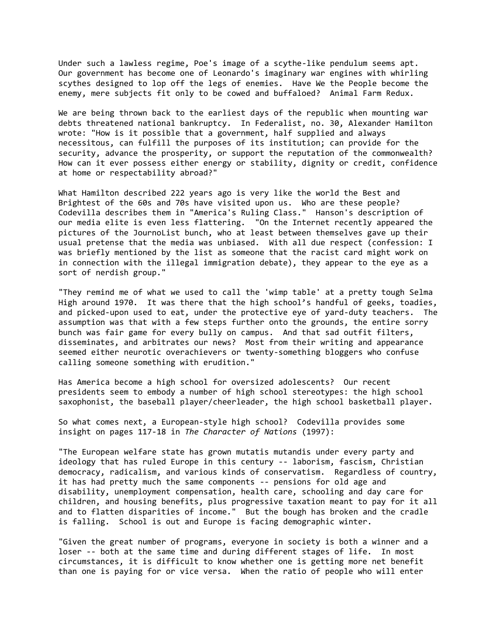Under such a lawless regime, Poe's image of a scythe-like pendulum seems apt. Our government has become one of Leonardo's imaginary war engines with whirling scythes designed to lop off the legs of enemies. Have We the People become the enemy, mere subjects fit only to be cowed and buffaloed? Animal Farm Redux.

We are being thrown back to the earliest days of the republic when mounting war debts threatened national bankruptcy. In Federalist, no. 30, Alexander Hamilton wrote: "How is it possible that a government, half supplied and always necessitous, can fulfill the purposes of its institution; can provide for the security, advance the prosperity, or support the reputation of the commonwealth? How can it ever possess either energy or stability, dignity or credit, confidence at home or respectability abroad?"

What Hamilton described 222 years ago is very like the world the Best and Brightest of the 60s and 70s have visited upon us. Who are these people? Codevilla describes them in "America's Ruling Class." Hanson's description of our media elite is even less flattering. "On the Internet recently appeared the pictures of the JournoList bunch, who at least between themselves gave up their usual pretense that the media was unbiased. With all due respect (confession: I was briefly mentioned by the list as someone that the racist card might work on in connection with the illegal immigration debate), they appear to the eye as a sort of nerdish group."

"They remind me of what we used to call the 'wimp table' at a pretty tough Selma High around 1970. It was there that the high school's handful of geeks, toadies, and picked-upon used to eat, under the protective eye of yard-duty teachers. The assumption was that with a few steps further onto the grounds, the entire sorry bunch was fair game for every bully on campus. And that sad outfit filters, disseminates, and arbitrates our news? Most from their writing and appearance seemed either neurotic overachievers or twenty-something bloggers who confuse calling someone something with erudition."

Has America become a high school for oversized adolescents? Our recent presidents seem to embody a number of high school stereotypes: the high school saxophonist, the baseball player/cheerleader, the high school basketball player.

So what comes next, a European-style high school? Codevilla provides some insight on pages 117-18 in *The Character of Nations* (1997):

"The European welfare state has grown mutatis mutandis under every party and ideology that has ruled Europe in this century -- laborism, fascism, Christian democracy, radicalism, and various kinds of conservatism. Regardless of country, it has had pretty much the same components -- pensions for old age and disability, unemployment compensation, health care, schooling and day care for children, and housing benefits, plus progressive taxation meant to pay for it all and to flatten disparities of income." But the bough has broken and the cradle is falling. School is out and Europe is facing demographic winter.

"Given the great number of programs, everyone in society is both a winner and a loser -- both at the same time and during different stages of life. In most circumstances, it is difficult to know whether one is getting more net benefit than one is paying for or vice versa. When the ratio of people who will enter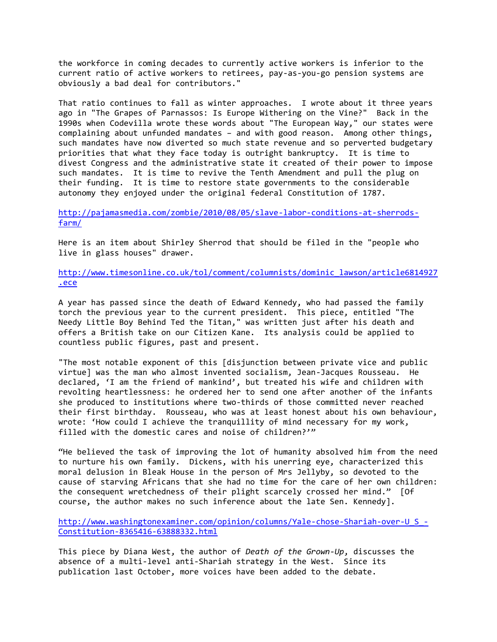the workforce in coming decades to currently active workers is inferior to the current ratio of active workers to retirees, pay-as-you-go pension systems are obviously a bad deal for contributors."

That ratio continues to fall as winter approaches. I wrote about it three years ago in "The Grapes of Parnassos: Is Europe Withering on the Vine?" Back in the 1990s when Codevilla wrote these words about "The European Way," our states were complaining about unfunded mandates – and with good reason. Among other things, such mandates have now diverted so much state revenue and so perverted budgetary priorities that what they face today is outright bankruptcy. It is time to divest Congress and the administrative state it created of their power to impose such mandates. It is time to revive the Tenth Amendment and pull the plug on their funding. It is time to restore state governments to the considerable autonomy they enjoyed under the original federal Constitution of 1787.

[http://pajamasmedia.com/zombie/2010/08/05/slave-labor-conditions-at-sherrods](http://pajamasmedia.com/zombie/2010/08/05/slave-labor-conditions-at-sherrods-farm/)[farm/](http://pajamasmedia.com/zombie/2010/08/05/slave-labor-conditions-at-sherrods-farm/)

Here is an item about Shirley Sherrod that should be filed in the "people who live in glass houses" drawer.

[http://www.timesonline.co.uk/tol/comment/columnists/dominic\\_lawson/article6814927](http://www.timesonline.co.uk/tol/comment/columnists/dominic_lawson/article6814927.ece) [.ece](http://www.timesonline.co.uk/tol/comment/columnists/dominic_lawson/article6814927.ece)

A year has passed since the death of Edward Kennedy, who had passed the family torch the previous year to the current president. This piece, entitled "The Needy Little Boy Behind Ted the Titan," was written just after his death and offers a British take on our Citizen Kane. Its analysis could be applied to countless public figures, past and present.

"The most notable exponent of this [disjunction between private vice and public virtue] was the man who almost invented socialism, Jean-Jacques Rousseau. He declared, 'I am the friend of mankind', but treated his wife and children with revolting heartlessness: he ordered her to send one after another of the infants she produced to institutions where two-thirds of those committed never reached their first birthday. Rousseau, who was at least honest about his own behaviour, wrote: 'How could I achieve the tranquillity of mind necessary for my work, filled with the domestic cares and noise of children?'"

"He believed the task of improving the lot of humanity absolved him from the need to nurture his own family. Dickens, with his unerring eye, characterized this moral delusion in Bleak House in the person of Mrs Jellyby, so devoted to the cause of starving Africans that she had no time for the care of her own children: the consequent wretchedness of their plight scarcely crossed her mind." [Of course, the author makes no such inference about the late Sen. Kennedy].

[http://www.washingtonexaminer.com/opinion/columns/Yale-chose-Shariah-over-U\\_S\\_-](http://www.washingtonexaminer.com/opinion/columns/Yale-chose-Shariah-over-U_S_-Constitution-8365416-63888332.html) [Constitution-8365416-63888332.html](http://www.washingtonexaminer.com/opinion/columns/Yale-chose-Shariah-over-U_S_-Constitution-8365416-63888332.html)

This piece by Diana West, the author of *Death of the Grown-Up*, discusses the absence of a multi-level anti-Shariah strategy in the West. Since its publication last October, more voices have been added to the debate.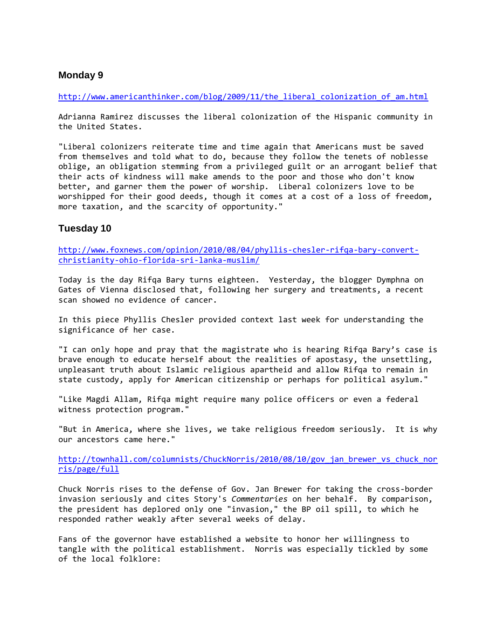#### **Monday 9**

[http://www.americanthinker.com/blog/2009/11/the\\_liberal\\_colonization\\_of\\_am.html](http://www.americanthinker.com/blog/2009/11/the_liberal_colonization_of_am.html)

Adrianna Ramirez discusses the liberal colonization of the Hispanic community in the United States.

"Liberal colonizers reiterate time and time again that Americans must be saved from themselves and told what to do, because they follow the tenets of noblesse oblige, an obligation stemming from a privileged guilt or an arrogant belief that their acts of kindness will make amends to the poor and those who don't know better, and garner them the power of worship. Liberal colonizers love to be worshipped for their good deeds, though it comes at a cost of a loss of freedom, more taxation, and the scarcity of opportunity."

#### **Tuesday 10**

[http://www.foxnews.com/opinion/2010/08/04/phyllis-chesler-rifqa-bary-convert](http://www.foxnews.com/opinion/2010/08/04/phyllis-chesler-rifqa-bary-convert-christianity-ohio-florida-sri-lanka-muslim/)[christianity-ohio-florida-sri-lanka-muslim/](http://www.foxnews.com/opinion/2010/08/04/phyllis-chesler-rifqa-bary-convert-christianity-ohio-florida-sri-lanka-muslim/)

Today is the day Rifqa Bary turns eighteen. Yesterday, the blogger Dymphna on Gates of Vienna disclosed that, following her surgery and treatments, a recent scan showed no evidence of cancer.

In this piece Phyllis Chesler provided context last week for understanding the significance of her case.

"I can only hope and pray that the magistrate who is hearing Rifqa Bary's case is brave enough to educate herself about the realities of apostasy, the unsettling, unpleasant truth about Islamic religious apartheid and allow Rifqa to remain in state custody, apply for American citizenship or perhaps for political asylum."

"Like Magdi Allam, Rifqa might require many police officers or even a federal witness protection program."

"But in America, where she lives, we take religious freedom seriously. It is why our ancestors came here."

[http://townhall.com/columnists/ChuckNorris/2010/08/10/gov\\_jan\\_brewer\\_vs\\_chuck\\_nor](http://townhall.com/columnists/ChuckNorris/2010/08/10/gov_jan_brewer_vs_chuck_norris/page/full) [ris/page/full](http://townhall.com/columnists/ChuckNorris/2010/08/10/gov_jan_brewer_vs_chuck_norris/page/full)

Chuck Norris rises to the defense of Gov. Jan Brewer for taking the cross-border invasion seriously and cites Story's *Commentaries* on her behalf. By comparison, the president has deplored only one "invasion," the BP oil spill, to which he responded rather weakly after several weeks of delay.

Fans of the governor have established a website to honor her willingness to tangle with the political establishment. Norris was especially tickled by some of the local folklore: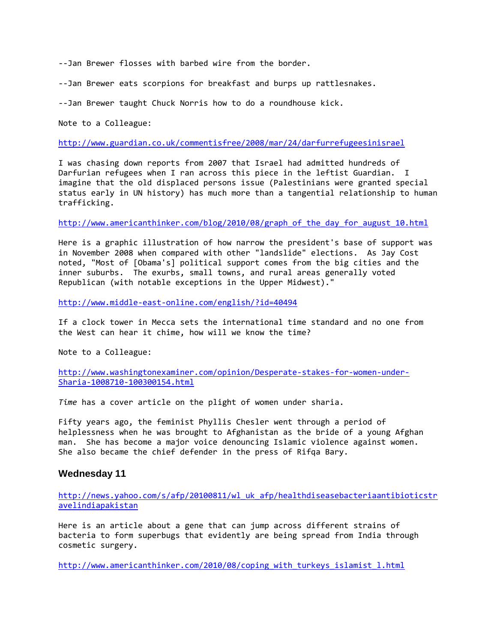--Jan Brewer flosses with barbed wire from the border.

--Jan Brewer eats scorpions for breakfast and burps up rattlesnakes.

--Jan Brewer taught Chuck Norris how to do a roundhouse kick.

Note to a Colleague:

<http://www.guardian.co.uk/commentisfree/2008/mar/24/darfurrefugeesinisrael>

I was chasing down reports from 2007 that Israel had admitted hundreds of Darfurian refugees when I ran across this piece in the leftist Guardian. I imagine that the old displaced persons issue (Palestinians were granted special status early in UN history) has much more than a tangential relationship to human trafficking.

[http://www.americanthinker.com/blog/2010/08/graph\\_of\\_the\\_day\\_for\\_august\\_10.html](http://www.americanthinker.com/blog/2010/08/graph_of_the_day_for_august_10.html)

Here is a graphic illustration of how narrow the president's base of support was in November 2008 when compared with other "landslide" elections. As Jay Cost noted, "Most of [Obama's] political support comes from the big cities and the inner suburbs. The exurbs, small towns, and rural areas generally voted Republican (with notable exceptions in the Upper Midwest)."

<http://www.middle-east-online.com/english/?id=40494>

If a clock tower in Mecca sets the international time standard and no one from the West can hear it chime, how will we know the time?

Note to a Colleague:

[http://www.washingtonexaminer.com/opinion/Desperate-stakes-for-women-under-](http://www.washingtonexaminer.com/opinion/Desperate-stakes-for-women-under-Sharia-1008710-100300154.html)[Sharia-1008710-100300154.html](http://www.washingtonexaminer.com/opinion/Desperate-stakes-for-women-under-Sharia-1008710-100300154.html)

*Time* has a cover article on the plight of women under sharia.

Fifty years ago, the feminist Phyllis Chesler went through a period of helplessness when he was brought to Afghanistan as the bride of a young Afghan man. She has become a major voice denouncing Islamic violence against women. She also became the chief defender in the press of Rifqa Bary.

#### **Wednesday 11**

[http://news.yahoo.com/s/afp/20100811/wl\\_uk\\_afp/healthdiseasebacteriaantibioticstr](http://news.yahoo.com/s/afp/20100811/wl_uk_afp/healthdiseasebacteriaantibioticstravelindiapakistan) [avelindiapakistan](http://news.yahoo.com/s/afp/20100811/wl_uk_afp/healthdiseasebacteriaantibioticstravelindiapakistan)

Here is an article about a gene that can jump across different strains of bacteria to form superbugs that evidently are being spread from India through cosmetic surgery.

[http://www.americanthinker.com/2010/08/coping\\_with\\_turkeys\\_islamist\\_l.html](http://www.americanthinker.com/2010/08/coping_with_turkeys_islamist_l.html)